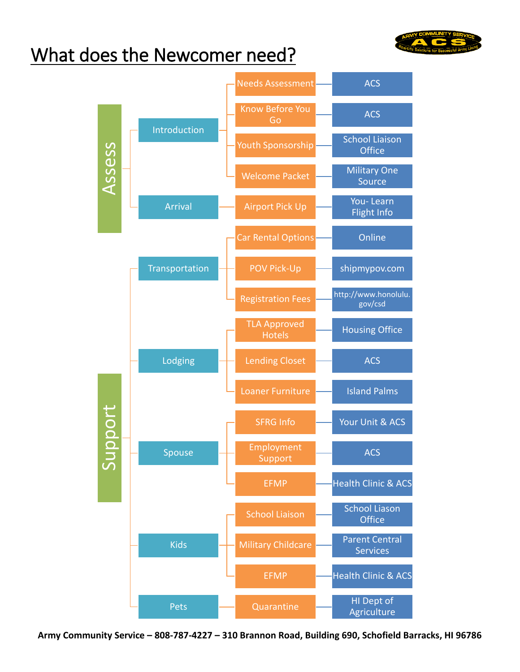## What does the Newcomer need?





**Army Community Service – 808-787-4227 – 310 Brannon Road, Building 690, Schofield Barracks, HI 96786**